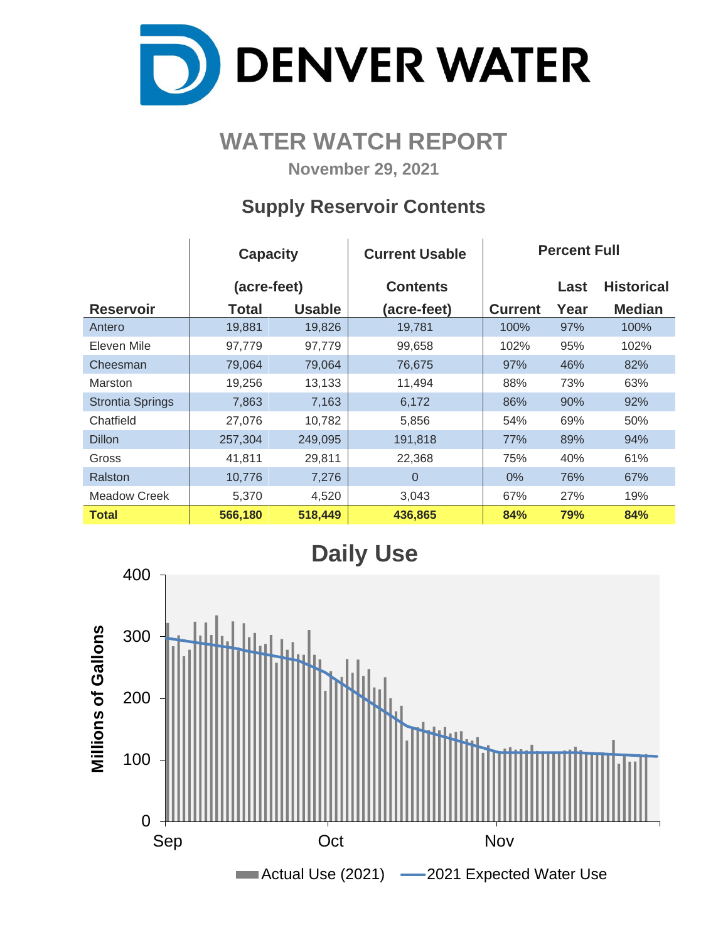

# **WATER WATCH REPORT**

**November 29, 2021**

## **Supply Reservoir Contents**

|                         | <b>Capacity</b> |               | <b>Current Usable</b> | <b>Percent Full</b> |      |                   |  |  |  |
|-------------------------|-----------------|---------------|-----------------------|---------------------|------|-------------------|--|--|--|
|                         | (acre-feet)     |               | <b>Contents</b>       |                     | Last | <b>Historical</b> |  |  |  |
| <b>Reservoir</b>        | Total           | <b>Usable</b> | (acre-feet)           | <b>Current</b>      | Year | <b>Median</b>     |  |  |  |
| Antero                  | 19,881          | 19,826        | 19,781                | 100%                | 97%  | 100%              |  |  |  |
| Eleven Mile             | 97,779          | 97,779        | 99,658                | 102%                | 95%  | 102%              |  |  |  |
| Cheesman                | 79,064          | 79,064        | 76,675                | 97%                 | 46%  | 82%               |  |  |  |
| <b>Marston</b>          | 19,256          | 13,133        | 11,494                | 88%                 | 73%  | 63%               |  |  |  |
| <b>Strontia Springs</b> | 7,863           | 7,163         | 6,172                 | 86%                 | 90%  | 92%               |  |  |  |
| Chatfield               | 27,076          | 10,782        | 5,856                 | 54%                 | 69%  | 50%               |  |  |  |
| <b>Dillon</b>           | 257,304         | 249,095       | 191,818               | 77%                 | 89%  | 94%               |  |  |  |
| Gross                   | 41,811          | 29,811        | 22,368                | 75%                 | 40%  | 61%               |  |  |  |
| Ralston                 | 10,776          | 7,276         | $\Omega$              | $0\%$               | 76%  | 67%               |  |  |  |
| Meadow Creek            | 5,370           | 4,520         | 3,043                 | 67%                 | 27%  | 19%               |  |  |  |
| <b>Total</b>            | 566,180         | 518,449       | 436,865               | 84%                 | 79%  | 84%               |  |  |  |

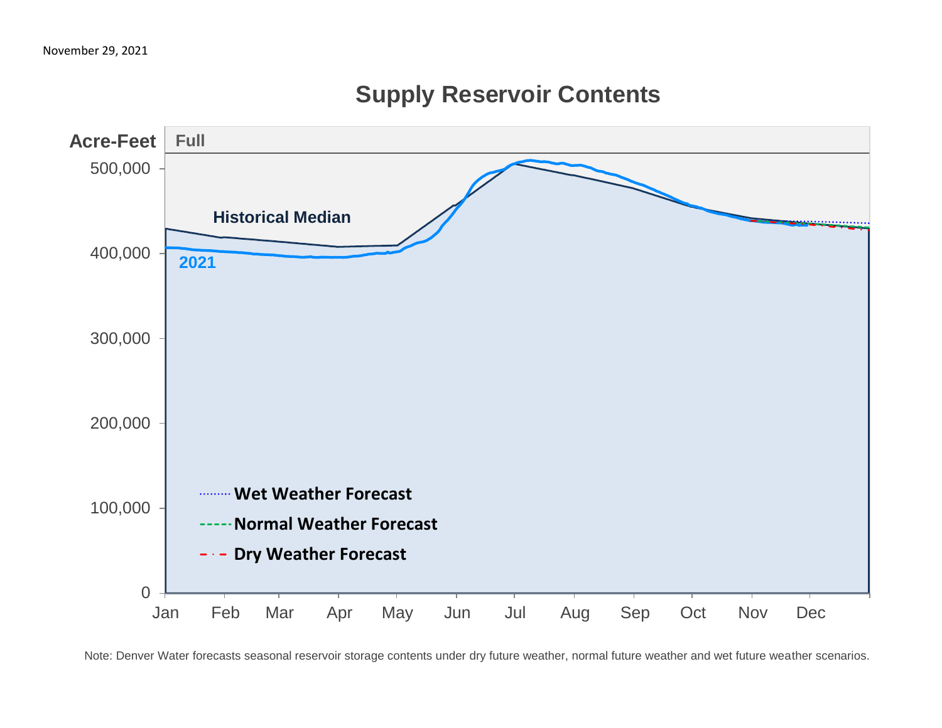

## **Supply Reservoir Contents**

Note: Denver Water forecasts seasonal reservoir storage contents under dry future weather, normal future weather and wet future weather scenarios.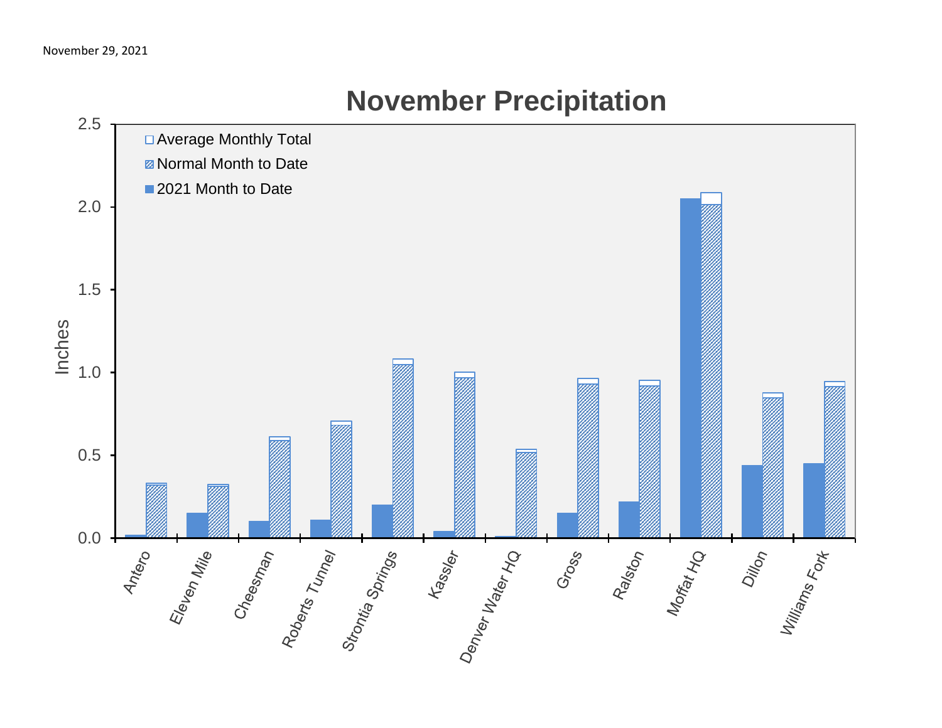

# **November Precipitation**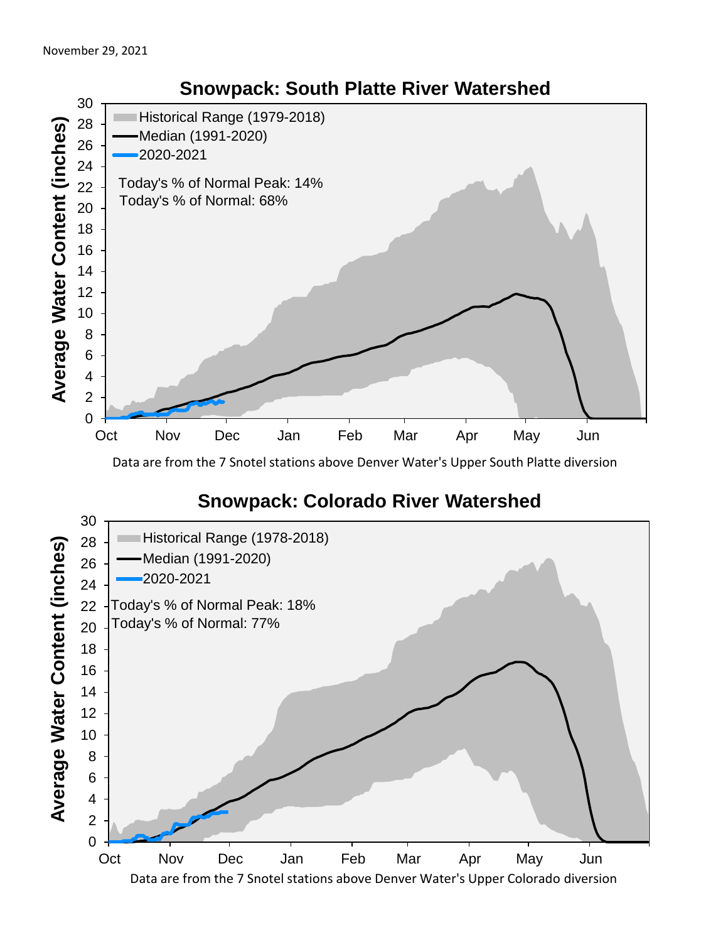

Data are from the 7 Snotel stations above Denver Water's Upper South Platte diversion

### **Snowpack: Colorado River Watershed**

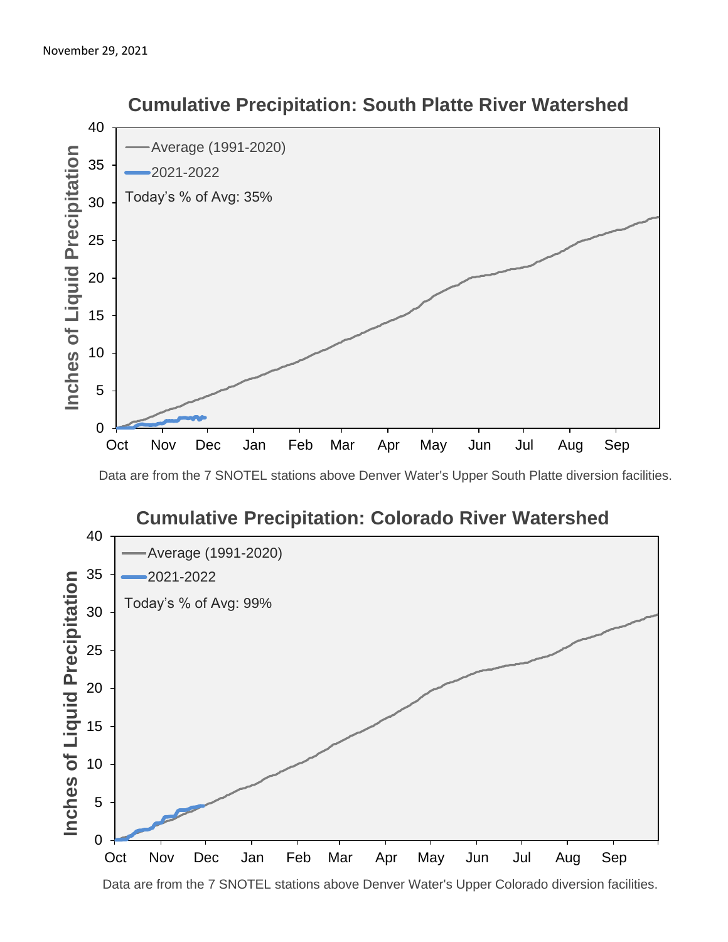

 **Cumulative Precipitation: South Platte River Watershed**

Data are from the 7 SNOTEL stations above Denver Water's Upper South Platte diversion facilities.



Data are from the 7 SNOTEL stations above Denver Water's Upper Colorado diversion facilities.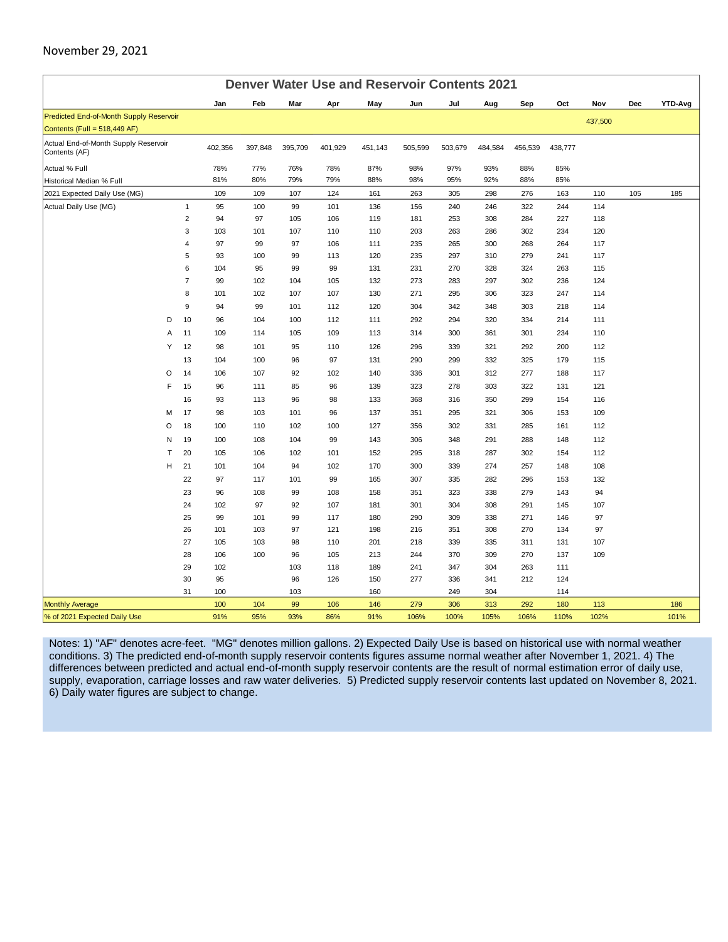#### November 29, 2021

| <b>Denver Water Use and Reservoir Contents 2021</b>   |                |         |         |         |         |         |         |         |         |         |         |         |     |                |
|-------------------------------------------------------|----------------|---------|---------|---------|---------|---------|---------|---------|---------|---------|---------|---------|-----|----------------|
|                                                       |                | Jan     | Feb     | Mar     | Apr     | May     | Jun     | Jul     | Aug     | Sep     | Oct     | Nov     | Dec | <b>YTD-Avg</b> |
| Predicted End-of-Month Supply Reservoir               |                |         |         |         |         |         |         |         |         |         |         | 437,500 |     |                |
| Contents (Full = $518,449$ AF)                        |                |         |         |         |         |         |         |         |         |         |         |         |     |                |
| Actual End-of-Month Supply Reservoir<br>Contents (AF) |                | 402,356 | 397,848 | 395,709 | 401,929 | 451,143 | 505,599 | 503,679 | 484,584 | 456,539 | 438,777 |         |     |                |
| Actual % Full                                         |                | 78%     | 77%     | 76%     | 78%     | 87%     | 98%     | 97%     | 93%     | 88%     | 85%     |         |     |                |
| Historical Median % Full                              |                | 81%     | 80%     | 79%     | 79%     | 88%     | 98%     | 95%     | 92%     | 88%     | 85%     |         |     |                |
| 2021 Expected Daily Use (MG)                          |                | 109     | 109     | 107     | 124     | 161     | 263     | 305     | 298     | 276     | 163     | 110     | 105 | 185            |
| Actual Daily Use (MG)                                 | $\mathbf{1}$   | 95      | 100     | 99      | 101     | 136     | 156     | 240     | 246     | 322     | 244     | 114     |     |                |
|                                                       | $\overline{2}$ | 94      | 97      | 105     | 106     | 119     | 181     | 253     | 308     | 284     | 227     | 118     |     |                |
|                                                       | 3              | 103     | 101     | 107     | 110     | 110     | 203     | 263     | 286     | 302     | 234     | 120     |     |                |
|                                                       | 4              | 97      | 99      | 97      | 106     | 111     | 235     | 265     | 300     | 268     | 264     | 117     |     |                |
|                                                       | 5              | 93      | 100     | 99      | 113     | 120     | 235     | 297     | 310     | 279     | 241     | 117     |     |                |
|                                                       | 6              | 104     | 95      | 99      | 99      | 131     | 231     | 270     | 328     | 324     | 263     | 115     |     |                |
|                                                       | $\overline{7}$ | 99      | 102     | 104     | 105     | 132     | 273     | 283     | 297     | 302     | 236     | 124     |     |                |
|                                                       | 8              | 101     | 102     | 107     | 107     | 130     | 271     | 295     | 306     | 323     | 247     | 114     |     |                |
|                                                       | 9              | 94      | 99      | 101     | 112     | 120     | 304     | 342     | 348     | 303     | 218     | 114     |     |                |
| D                                                     | 10             | 96      | 104     | 100     | 112     | 111     | 292     | 294     | 320     | 334     | 214     | 111     |     |                |
| Α                                                     | 11             | 109     | 114     | 105     | 109     | 113     | 314     | 300     | 361     | 301     | 234     | 110     |     |                |
| Y                                                     | 12             | 98      | 101     | 95      | 110     | 126     | 296     | 339     | 321     | 292     | 200     | 112     |     |                |
|                                                       | 13             | 104     | 100     | 96      | 97      | 131     | 290     | 299     | 332     | 325     | 179     | 115     |     |                |
| O                                                     | 14             | 106     | 107     | 92      | 102     | 140     | 336     | 301     | 312     | 277     | 188     | 117     |     |                |
| F                                                     | 15             | 96      | 111     | 85      | 96      | 139     | 323     | 278     | 303     | 322     | 131     | 121     |     |                |
|                                                       | 16             | 93      | 113     | 96      | 98      | 133     | 368     | 316     | 350     | 299     | 154     | 116     |     |                |
| M                                                     | 17             | 98      | 103     | 101     | 96      | 137     | 351     | 295     | 321     | 306     | 153     | 109     |     |                |
| O                                                     | 18             | 100     | 110     | 102     | 100     | 127     | 356     | 302     | 331     | 285     | 161     | 112     |     |                |
| N                                                     | 19             | 100     | 108     | 104     | 99      | 143     | 306     | 348     | 291     | 288     | 148     | 112     |     |                |
| т                                                     | 20             | 105     | 106     | 102     | 101     | 152     | 295     | 318     | 287     | 302     | 154     | 112     |     |                |
| н                                                     | 21             | 101     | 104     | 94      | 102     | 170     | 300     | 339     | 274     | 257     | 148     | 108     |     |                |
|                                                       | 22             | 97      | 117     | 101     | 99      | 165     | 307     | 335     | 282     | 296     | 153     | 132     |     |                |
|                                                       | 23             | 96      | 108     | 99      | 108     | 158     | 351     | 323     | 338     | 279     | 143     | 94      |     |                |
|                                                       | 24             | 102     | 97      | 92      | 107     | 181     | 301     | 304     | 308     | 291     | 145     | 107     |     |                |
|                                                       | 25             | 99      | 101     | 99      | 117     | 180     | 290     | 309     | 338     | 271     | 146     | 97      |     |                |
|                                                       | 26             | 101     | 103     | 97      | 121     | 198     | 216     | 351     | 308     | 270     | 134     | 97      |     |                |
|                                                       | 27             | 105     | 103     | 98      | 110     | 201     | 218     | 339     | 335     | 311     | 131     | 107     |     |                |
|                                                       | 28             | 106     | 100     | 96      | 105     | 213     | 244     | 370     | 309     | 270     | 137     | 109     |     |                |
|                                                       | 29             | 102     |         | 103     | 118     | 189     | 241     | 347     | 304     | 263     | 111     |         |     |                |
|                                                       | 30             | 95      |         | 96      | 126     | 150     | 277     | 336     | 341     | 212     | 124     |         |     |                |
|                                                       | 31             | 100     |         | 103     |         | 160     |         | 249     | 304     |         | 114     |         |     |                |
| <b>Monthly Average</b>                                |                | 100     | 104     | 99      | 106     | 146     | 279     | 306     | 313     | 292     | 180     | 113     |     | 186            |
| % of 2021 Expected Daily Use                          |                | 91%     | 95%     | 93%     | 86%     | 91%     | 106%    | 100%    | 105%    | 106%    | 110%    | 102%    |     | 101%           |

Notes: 1) "AF" denotes acre-feet. "MG" denotes million gallons. 2) Expected Daily Use is based on historical use with normal weather conditions. 3) The predicted end-of-month supply reservoir contents figures assume normal weather after November 1, 2021. 4) The differences between predicted and actual end-of-month supply reservoir contents are the result of normal estimation error of daily use, supply, evaporation, carriage losses and raw water deliveries. 5) Predicted supply reservoir contents last updated on November 8, 2021. 6) Daily water figures are subject to change.